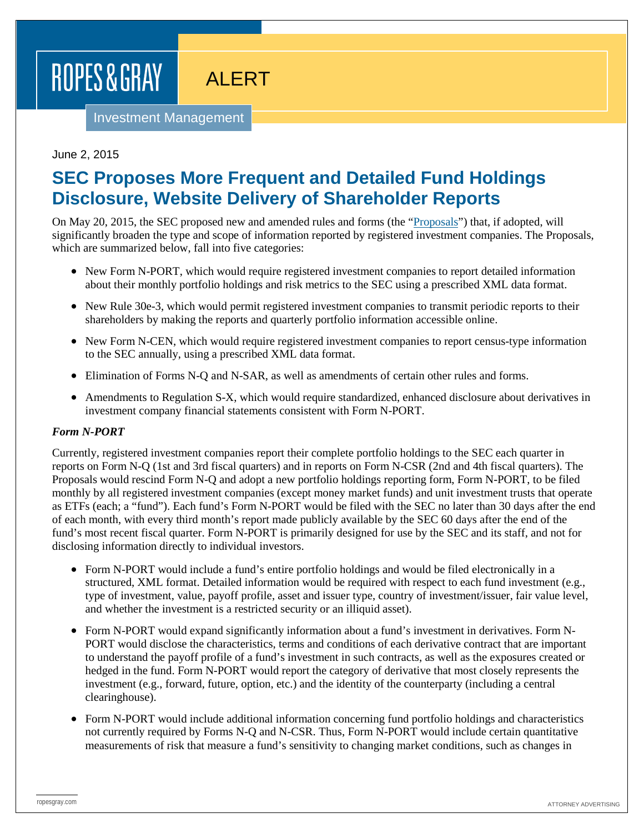# ROPES & GRAY

# ALERT

Investment Management

# June 2, 2015

# **SEC Proposes More Frequent and Detailed Fund Holdings Disclosure, Website Delivery of Shareholder Reports**

On May 20, 2015, the SEC proposed new and amended rules and forms (the ["Proposals"](http://www.sec.gov/rules/proposed/2015/33-9776.pdf)) that, if adopted, will significantly broaden the type and scope of information reported by registered investment companies. The Proposals, which are summarized below, fall into five categories:

- New Form N-PORT, which would require registered investment companies to report detailed information about their monthly portfolio holdings and risk metrics to the SEC using a prescribed XML data format.
- New Rule 30e-3, which would permit registered investment companies to transmit periodic reports to their shareholders by making the reports and quarterly portfolio information accessible online.
- New Form N-CEN, which would require registered investment companies to report census-type information to the SEC annually, using a prescribed XML data format.
- Elimination of Forms N-Q and N-SAR, as well as amendments of certain other rules and forms.
- Amendments to Regulation S-X, which would require standardized, enhanced disclosure about derivatives in investment company financial statements consistent with Form N-PORT.

#### *Form N-PORT*

Currently, registered investment companies report their complete portfolio holdings to the SEC each quarter in reports on Form N-Q (1st and 3rd fiscal quarters) and in reports on Form N-CSR (2nd and 4th fiscal quarters). The Proposals would rescind Form N-Q and adopt a new portfolio holdings reporting form, Form N-PORT, to be filed monthly by all registered investment companies (except money market funds) and unit investment trusts that operate as ETFs (each; a "fund"). Each fund's Form N-PORT would be filed with the SEC no later than 30 days after the end of each month, with every third month's report made publicly available by the SEC 60 days after the end of the fund's most recent fiscal quarter. Form N-PORT is primarily designed for use by the SEC and its staff, and not for disclosing information directly to individual investors.

- Form N-PORT would include a fund's entire portfolio holdings and would be filed electronically in a structured, XML format. Detailed information would be required with respect to each fund investment (e.g., type of investment, value, payoff profile, asset and issuer type, country of investment/issuer, fair value level, and whether the investment is a restricted security or an illiquid asset).
- Form N-PORT would expand significantly information about a fund's investment in derivatives. Form N-PORT would disclose the characteristics, terms and conditions of each derivative contract that are important to understand the payoff profile of a fund's investment in such contracts, as well as the exposures created or hedged in the fund. Form N-PORT would report the category of derivative that most closely represents the investment (e.g., forward, future, option, etc.) and the identity of the counterparty (including a central clearinghouse).
- Form N-PORT would include additional information concerning fund portfolio holdings and characteristics not currently required by Forms N-Q and N-CSR. Thus, Form N-PORT would include certain quantitative measurements of risk that measure a fund's sensitivity to changing market conditions, such as changes in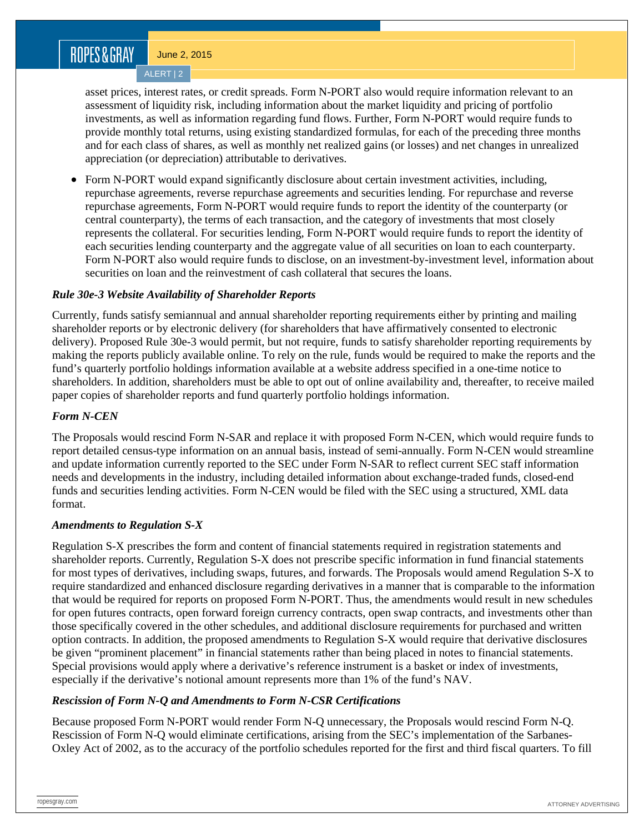# ROPES&GRAY

June 2, 2015

ALERT | 2

asset prices, interest rates, or credit spreads. Form N-PORT also would require information relevant to an assessment of liquidity risk, including information about the market liquidity and pricing of portfolio investments, as well as information regarding fund flows. Further, Form N-PORT would require funds to provide monthly total returns, using existing standardized formulas, for each of the preceding three months and for each class of shares, as well as monthly net realized gains (or losses) and net changes in unrealized appreciation (or depreciation) attributable to derivatives.

• Form N-PORT would expand significantly disclosure about certain investment activities, including, repurchase agreements, reverse repurchase agreements and securities lending. For repurchase and reverse repurchase agreements, Form N-PORT would require funds to report the identity of the counterparty (or central counterparty), the terms of each transaction, and the category of investments that most closely represents the collateral. For securities lending, Form N-PORT would require funds to report the identity of each securities lending counterparty and the aggregate value of all securities on loan to each counterparty. Form N-PORT also would require funds to disclose, on an investment-by-investment level, information about securities on loan and the reinvestment of cash collateral that secures the loans.

# *Rule 30e-3 Website Availability of Shareholder Reports*

Currently, funds satisfy semiannual and annual shareholder reporting requirements either by printing and mailing shareholder reports or by electronic delivery (for shareholders that have affirmatively consented to electronic delivery). Proposed Rule 30e-3 would permit, but not require, funds to satisfy shareholder reporting requirements by making the reports publicly available online. To rely on the rule, funds would be required to make the reports and the fund's quarterly portfolio holdings information available at a website address specified in a one-time notice to shareholders. In addition, shareholders must be able to opt out of online availability and, thereafter, to receive mailed paper copies of shareholder reports and fund quarterly portfolio holdings information.

### *Form N-CEN*

The Proposals would rescind Form N-SAR and replace it with proposed Form N-CEN, which would require funds to report detailed census-type information on an annual basis, instead of semi-annually. Form N-CEN would streamline and update information currently reported to the SEC under Form N-SAR to reflect current SEC staff information needs and developments in the industry, including detailed information about exchange-traded funds, closed-end funds and securities lending activities. Form N-CEN would be filed with the SEC using a structured, XML data format.

# *Amendments to Regulation S-X*

Regulation S-X prescribes the form and content of financial statements required in registration statements and shareholder reports. Currently, Regulation S-X does not prescribe specific information in fund financial statements for most types of derivatives, including swaps, futures, and forwards. The Proposals would amend Regulation S-X to require standardized and enhanced disclosure regarding derivatives in a manner that is comparable to the information that would be required for reports on proposed Form N-PORT. Thus, the amendments would result in new schedules for open futures contracts, open forward foreign currency contracts, open swap contracts, and investments other than those specifically covered in the other schedules, and additional disclosure requirements for purchased and written option contracts. In addition, the proposed amendments to Regulation S-X would require that derivative disclosures be given "prominent placement" in financial statements rather than being placed in notes to financial statements. Special provisions would apply where a derivative's reference instrument is a basket or index of investments, especially if the derivative's notional amount represents more than 1% of the fund's NAV.

### *Rescission of Form N-Q and Amendments to Form N-CSR Certifications*

Because proposed Form N-PORT would render Form N-Q unnecessary, the Proposals would rescind Form N-Q. Rescission of Form N-Q would eliminate certifications, arising from the SEC's implementation of the Sarbanes-Oxley Act of 2002, as to the accuracy of the portfolio schedules reported for the first and third fiscal quarters. To fill